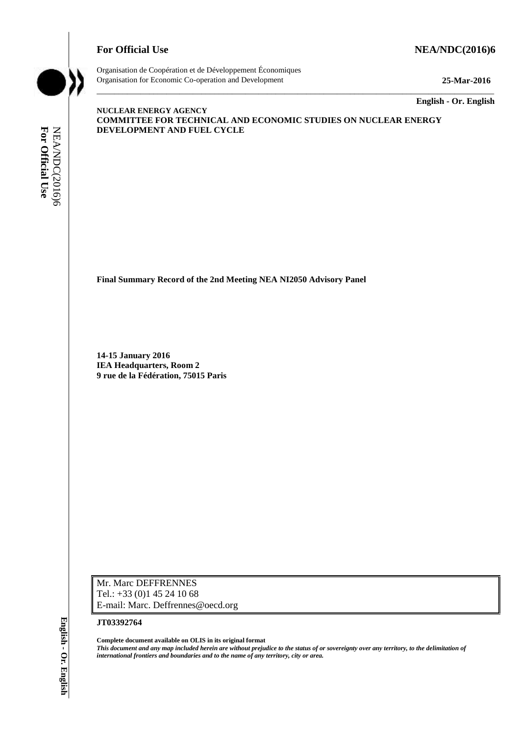## **For Official Use Set 2016)6 NEA/NDC(2016)6**



Organisation de Coopération et de Développement Économiques Organisation for Economic Co-operation and Development **25-Mar-2016**

\_\_\_\_\_\_\_\_\_\_\_\_\_ **English - Or. English**

**NUCLEAR ENERGY AGENCY COMMITTEE FOR TECHNICAL AND ECONOMIC STUDIES ON NUCLEAR ENERGY DEVELOPMENT AND FUEL CYCLE**

\_\_\_\_\_\_\_\_\_\_\_\_\_\_\_\_\_\_\_\_\_\_\_\_\_\_\_\_\_\_\_\_\_\_\_\_\_\_\_\_\_\_\_\_\_\_\_\_\_\_\_\_\_\_\_\_\_\_\_\_\_\_\_\_\_\_\_\_\_\_\_\_\_\_\_\_\_\_\_\_\_\_\_\_\_\_\_\_\_\_\_

**Final Summary Record of the 2nd Meeting NEA NI2050 Advisory Panel**

**14-15 January 2016 IEA Headquarters, Room 2 9 rue de la Fédération, 75015 Paris**

Mr. Marc DEFFRENNES Tel.: +33 (0)1 45 24 10 68 E-mail: Marc. Deffrennes@oecd.org

#### **JT03392764**

**Complete document available on OLIS in its original format** *This document and any map included herein are without prejudice to the status of or sovereignty over any territory, to the delimitation of*  **international formulational from the name of any territory and boundaries and to the name of any territory, city or area.**<br> **For Official User Official User Alternations and Department of the 2nd Meeting NEA NL2050 Adv <br>**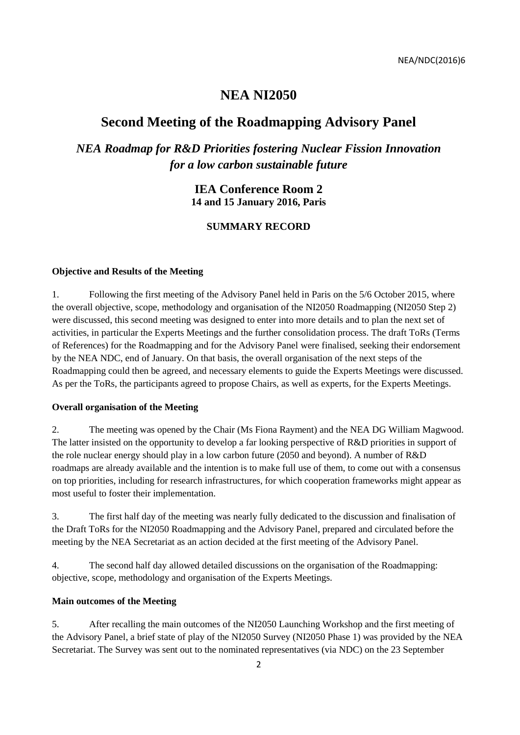# **NEA NI2050**

# **Second Meeting of the Roadmapping Advisory Panel**

*NEA Roadmap for R&D Priorities fostering Nuclear Fission Innovation for a low carbon sustainable future*

## **IEA Conference Room 2 14 and 15 January 2016, Paris**

## **SUMMARY RECORD**

#### **Objective and Results of the Meeting**

1. Following the first meeting of the Advisory Panel held in Paris on the 5/6 October 2015, where the overall objective, scope, methodology and organisation of the NI2050 Roadmapping (NI2050 Step 2) were discussed, this second meeting was designed to enter into more details and to plan the next set of activities, in particular the Experts Meetings and the further consolidation process. The draft ToRs (Terms of References) for the Roadmapping and for the Advisory Panel were finalised, seeking their endorsement by the NEA NDC, end of January. On that basis, the overall organisation of the next steps of the Roadmapping could then be agreed, and necessary elements to guide the Experts Meetings were discussed. As per the ToRs, the participants agreed to propose Chairs, as well as experts, for the Experts Meetings.

#### **Overall organisation of the Meeting**

2. The meeting was opened by the Chair (Ms Fiona Rayment) and the NEA DG William Magwood. The latter insisted on the opportunity to develop a far looking perspective of R&D priorities in support of the role nuclear energy should play in a low carbon future (2050 and beyond). A number of R&D roadmaps are already available and the intention is to make full use of them, to come out with a consensus on top priorities, including for research infrastructures, for which cooperation frameworks might appear as most useful to foster their implementation.

3. The first half day of the meeting was nearly fully dedicated to the discussion and finalisation of the Draft ToRs for the NI2050 Roadmapping and the Advisory Panel, prepared and circulated before the meeting by the NEA Secretariat as an action decided at the first meeting of the Advisory Panel.

4. The second half day allowed detailed discussions on the organisation of the Roadmapping: objective, scope, methodology and organisation of the Experts Meetings.

#### **Main outcomes of the Meeting**

5. After recalling the main outcomes of the NI2050 Launching Workshop and the first meeting of the Advisory Panel, a brief state of play of the NI2050 Survey (NI2050 Phase 1) was provided by the NEA Secretariat. The Survey was sent out to the nominated representatives (via NDC) on the 23 September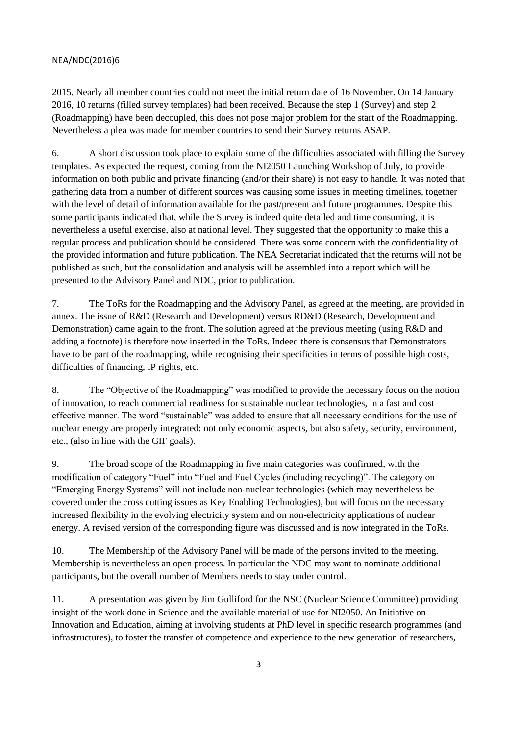2015. Nearly all member countries could not meet the initial return date of 16 November. On 14 January 2016, 10 returns (filled survey templates) had been received. Because the step 1 (Survey) and step 2 (Roadmapping) have been decoupled, this does not pose major problem for the start of the Roadmapping. Nevertheless a plea was made for member countries to send their Survey returns ASAP.

6. A short discussion took place to explain some of the difficulties associated with filling the Survey templates. As expected the request, coming from the NI2050 Launching Workshop of July, to provide information on both public and private financing (and/or their share) is not easy to handle. It was noted that gathering data from a number of different sources was causing some issues in meeting timelines, together with the level of detail of information available for the past/present and future programmes. Despite this some participants indicated that, while the Survey is indeed quite detailed and time consuming, it is nevertheless a useful exercise, also at national level. They suggested that the opportunity to make this a regular process and publication should be considered. There was some concern with the confidentiality of the provided information and future publication. The NEA Secretariat indicated that the returns will not be published as such, but the consolidation and analysis will be assembled into a report which will be presented to the Advisory Panel and NDC, prior to publication.

7. The ToRs for the Roadmapping and the Advisory Panel, as agreed at the meeting, are provided in annex. The issue of R&D (Research and Development) versus RD&D (Research, Development and Demonstration) came again to the front. The solution agreed at the previous meeting (using R&D and adding a footnote) is therefore now inserted in the ToRs. Indeed there is consensus that Demonstrators have to be part of the roadmapping, while recognising their specificities in terms of possible high costs, difficulties of financing, IP rights, etc.

8. The "Objective of the Roadmapping" was modified to provide the necessary focus on the notion of innovation, to reach commercial readiness for sustainable nuclear technologies, in a fast and cost effective manner. The word "sustainable" was added to ensure that all necessary conditions for the use of nuclear energy are properly integrated: not only economic aspects, but also safety, security, environment, etc., (also in line with the GIF goals).

9. The broad scope of the Roadmapping in five main categories was confirmed, with the modification of category "Fuel" into "Fuel and Fuel Cycles (including recycling)". The category on "Emerging Energy Systems" will not include non-nuclear technologies (which may nevertheless be covered under the cross cutting issues as Key Enabling Technologies), but will focus on the necessary increased flexibility in the evolving electricity system and on non-electricity applications of nuclear energy. A revised version of the corresponding figure was discussed and is now integrated in the ToRs.

10. The Membership of the Advisory Panel will be made of the persons invited to the meeting. Membership is nevertheless an open process. In particular the NDC may want to nominate additional participants, but the overall number of Members needs to stay under control.

11. A presentation was given by Jim Gulliford for the NSC (Nuclear Science Committee) providing insight of the work done in Science and the available material of use for NI2050. An Initiative on Innovation and Education, aiming at involving students at PhD level in specific research programmes (and infrastructures), to foster the transfer of competence and experience to the new generation of researchers,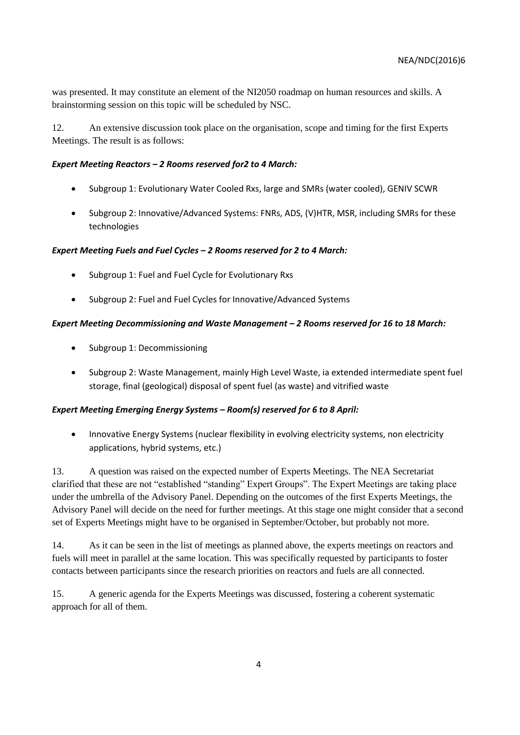was presented. It may constitute an element of the NI2050 roadmap on human resources and skills. A brainstorming session on this topic will be scheduled by NSC.

12. An extensive discussion took place on the organisation, scope and timing for the first Experts Meetings. The result is as follows:

#### *Expert Meeting Reactors – 2 Rooms reserved for2 to 4 March:*

- Subgroup 1: Evolutionary Water Cooled Rxs, large and SMRs (water cooled), GENIV SCWR
- Subgroup 2: Innovative/Advanced Systems: FNRs, ADS, (V)HTR, MSR, including SMRs for these technologies

### *Expert Meeting Fuels and Fuel Cycles – 2 Rooms reserved for 2 to 4 March:*

- Subgroup 1: Fuel and Fuel Cycle for Evolutionary Rxs
- Subgroup 2: Fuel and Fuel Cycles for Innovative/Advanced Systems

### *Expert Meeting Decommissioning and Waste Management – 2 Rooms reserved for 16 to 18 March:*

- Subgroup 1: Decommissioning
- Subgroup 2: Waste Management, mainly High Level Waste, ia extended intermediate spent fuel storage, final (geological) disposal of spent fuel (as waste) and vitrified waste

## *Expert Meeting Emerging Energy Systems – Room(s) reserved for 6 to 8 April:*

• Innovative Energy Systems (nuclear flexibility in evolving electricity systems, non electricity applications, hybrid systems, etc.)

13. A question was raised on the expected number of Experts Meetings. The NEA Secretariat clarified that these are not "established "standing" Expert Groups". The Expert Meetings are taking place under the umbrella of the Advisory Panel. Depending on the outcomes of the first Experts Meetings, the Advisory Panel will decide on the need for further meetings. At this stage one might consider that a second set of Experts Meetings might have to be organised in September/October, but probably not more.

14. As it can be seen in the list of meetings as planned above, the experts meetings on reactors and fuels will meet in parallel at the same location. This was specifically requested by participants to foster contacts between participants since the research priorities on reactors and fuels are all connected.

15. A generic agenda for the Experts Meetings was discussed, fostering a coherent systematic approach for all of them.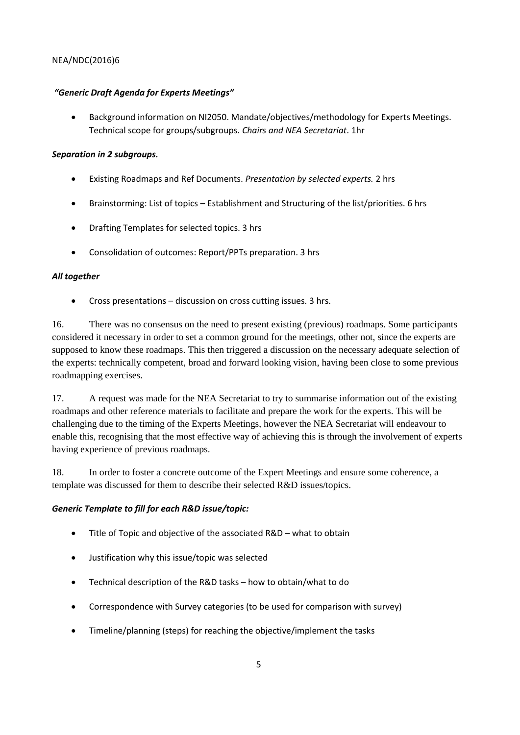## *"Generic Draft Agenda for Experts Meetings"*

 Background information on NI2050. Mandate/objectives/methodology for Experts Meetings. Technical scope for groups/subgroups. *Chairs and NEA Secretariat*. 1hr

### *Separation in 2 subgroups.*

- Existing Roadmaps and Ref Documents. *Presentation by selected experts.* 2 hrs
- Brainstorming: List of topics Establishment and Structuring of the list/priorities. 6 hrs
- Drafting Templates for selected topics. 3 hrs
- Consolidation of outcomes: Report/PPTs preparation. 3 hrs

### *All together*

Cross presentations – discussion on cross cutting issues. 3 hrs.

16. There was no consensus on the need to present existing (previous) roadmaps. Some participants considered it necessary in order to set a common ground for the meetings, other not, since the experts are supposed to know these roadmaps. This then triggered a discussion on the necessary adequate selection of the experts: technically competent, broad and forward looking vision, having been close to some previous roadmapping exercises.

17. A request was made for the NEA Secretariat to try to summarise information out of the existing roadmaps and other reference materials to facilitate and prepare the work for the experts. This will be challenging due to the timing of the Experts Meetings, however the NEA Secretariat will endeavour to enable this, recognising that the most effective way of achieving this is through the involvement of experts having experience of previous roadmaps.

18. In order to foster a concrete outcome of the Expert Meetings and ensure some coherence, a template was discussed for them to describe their selected R&D issues/topics.

#### *Generic Template to fill for each R&D issue/topic:*

- Title of Topic and objective of the associated R&D what to obtain
- Justification why this issue/topic was selected
- Technical description of the R&D tasks how to obtain/what to do
- Correspondence with Survey categories (to be used for comparison with survey)
- Timeline/planning (steps) for reaching the objective/implement the tasks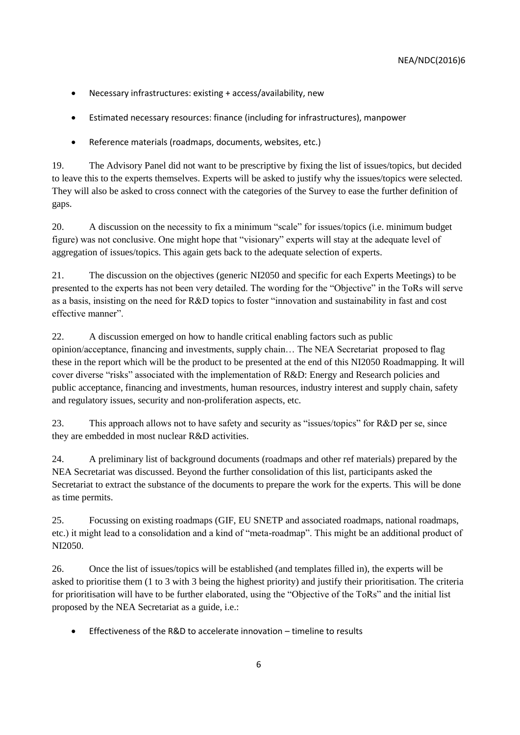- Necessary infrastructures: existing + access/availability, new
- Estimated necessary resources: finance (including for infrastructures), manpower
- Reference materials (roadmaps, documents, websites, etc.)

19. The Advisory Panel did not want to be prescriptive by fixing the list of issues/topics, but decided to leave this to the experts themselves. Experts will be asked to justify why the issues/topics were selected. They will also be asked to cross connect with the categories of the Survey to ease the further definition of gaps.

20. A discussion on the necessity to fix a minimum "scale" for issues/topics (i.e. minimum budget figure) was not conclusive. One might hope that "visionary" experts will stay at the adequate level of aggregation of issues/topics. This again gets back to the adequate selection of experts.

21. The discussion on the objectives (generic NI2050 and specific for each Experts Meetings) to be presented to the experts has not been very detailed. The wording for the "Objective" in the ToRs will serve as a basis, insisting on the need for R&D topics to foster "innovation and sustainability in fast and cost effective manner".

22. A discussion emerged on how to handle critical enabling factors such as public opinion/acceptance, financing and investments, supply chain… The NEA Secretariat proposed to flag these in the report which will be the product to be presented at the end of this NI2050 Roadmapping. It will cover diverse "risks" associated with the implementation of R&D: Energy and Research policies and public acceptance, financing and investments, human resources, industry interest and supply chain, safety and regulatory issues, security and non-proliferation aspects, etc.

23. This approach allows not to have safety and security as "issues/topics" for R&D per se, since they are embedded in most nuclear R&D activities.

24. A preliminary list of background documents (roadmaps and other ref materials) prepared by the NEA Secretariat was discussed. Beyond the further consolidation of this list, participants asked the Secretariat to extract the substance of the documents to prepare the work for the experts. This will be done as time permits.

25. Focussing on existing roadmaps (GIF, EU SNETP and associated roadmaps, national roadmaps, etc.) it might lead to a consolidation and a kind of "meta-roadmap". This might be an additional product of NI2050.

26. Once the list of issues/topics will be established (and templates filled in), the experts will be asked to prioritise them (1 to 3 with 3 being the highest priority) and justify their prioritisation. The criteria for prioritisation will have to be further elaborated, using the "Objective of the ToRs" and the initial list proposed by the NEA Secretariat as a guide, i.e.:

Effectiveness of the R&D to accelerate innovation – timeline to results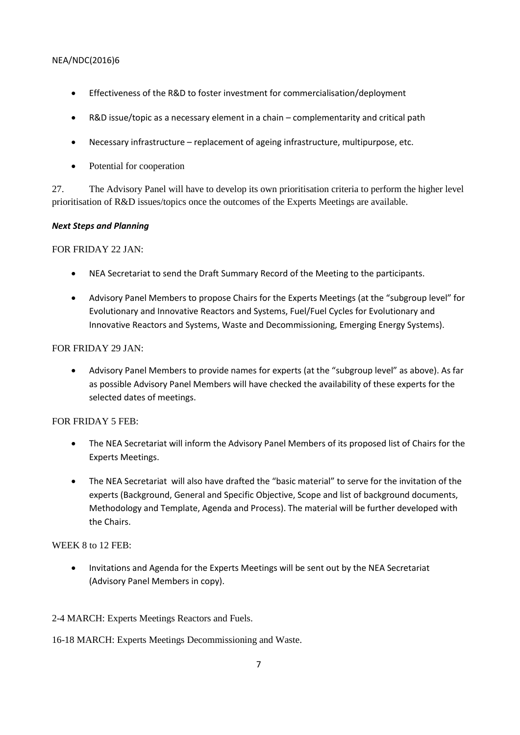- Effectiveness of the R&D to foster investment for commercialisation/deployment
- R&D issue/topic as a necessary element in a chain complementarity and critical path
- Necessary infrastructure replacement of ageing infrastructure, multipurpose, etc.
- Potential for cooperation

27. The Advisory Panel will have to develop its own prioritisation criteria to perform the higher level prioritisation of R&D issues/topics once the outcomes of the Experts Meetings are available.

### *Next Steps and Planning*

### FOR FRIDAY 22 JAN:

- NEA Secretariat to send the Draft Summary Record of the Meeting to the participants.
- Advisory Panel Members to propose Chairs for the Experts Meetings (at the "subgroup level" for Evolutionary and Innovative Reactors and Systems, Fuel/Fuel Cycles for Evolutionary and Innovative Reactors and Systems, Waste and Decommissioning, Emerging Energy Systems).

### FOR FRIDAY 29 JAN:

 Advisory Panel Members to provide names for experts (at the "subgroup level" as above). As far as possible Advisory Panel Members will have checked the availability of these experts for the selected dates of meetings.

## FOR FRIDAY 5 FEB:

- The NEA Secretariat will inform the Advisory Panel Members of its proposed list of Chairs for the Experts Meetings.
- The NEA Secretariat will also have drafted the "basic material" to serve for the invitation of the experts (Background, General and Specific Objective, Scope and list of background documents, Methodology and Template, Agenda and Process). The material will be further developed with the Chairs.

## WEEK 8 to 12 FEB:

 Invitations and Agenda for the Experts Meetings will be sent out by the NEA Secretariat (Advisory Panel Members in copy).

## 2-4 MARCH: Experts Meetings Reactors and Fuels.

16-18 MARCH: Experts Meetings Decommissioning and Waste.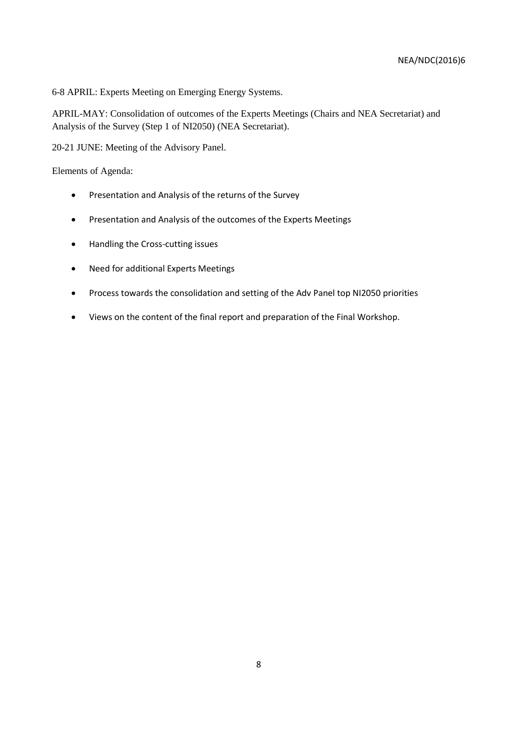6-8 APRIL: Experts Meeting on Emerging Energy Systems.

APRIL-MAY: Consolidation of outcomes of the Experts Meetings (Chairs and NEA Secretariat) and Analysis of the Survey (Step 1 of NI2050) (NEA Secretariat).

20-21 JUNE: Meeting of the Advisory Panel.

Elements of Agenda:

- Presentation and Analysis of the returns of the Survey
- Presentation and Analysis of the outcomes of the Experts Meetings
- Handling the Cross-cutting issues
- Need for additional Experts Meetings
- Process towards the consolidation and setting of the Adv Panel top NI2050 priorities
- Views on the content of the final report and preparation of the Final Workshop.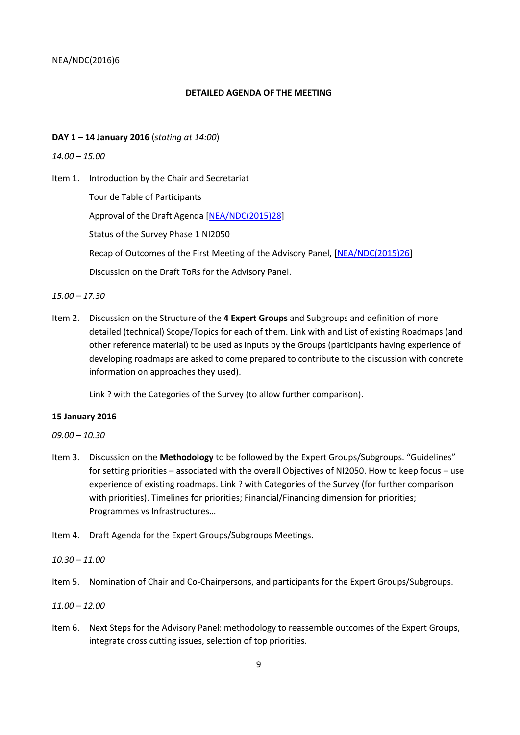#### **DETAILED AGENDA OF THE MEETING**

#### **DAY 1 – 14 January 2016** (*stating at 14:00*)

#### *14.00 – 15.00*

Item 1. Introduction by the Chair and Secretariat

Tour de Table of Participants

Approval of the Draft Agenda [\[NEA/NDC\(2015\)28\]](http://www2.oecd.org/oecdinfo/info.aspx?app=OLIScoteEN&Ref=NEA/NDC(2015)28)

Status of the Survey Phase 1 NI2050

Recap of Outcomes of the First Meeting of the Advisory Panel, [\[NEA/NDC\(2015\)26\]](http://www2.oecd.org/oecdinfo/info.aspx?app=OLIScoteEN&Ref=NEA/NDC(2015)26)

Discussion on the Draft ToRs for the Advisory Panel.

#### *15.00 – 17.30*

Item 2. Discussion on the Structure of the **4 Expert Groups** and Subgroups and definition of more detailed (technical) Scope/Topics for each of them. Link with and List of existing Roadmaps (and other reference material) to be used as inputs by the Groups (participants having experience of developing roadmaps are asked to come prepared to contribute to the discussion with concrete information on approaches they used).

Link ? with the Categories of the Survey (to allow further comparison).

#### **15 January 2016**

*09.00 – 10.30*

- Item 3. Discussion on the **Methodology** to be followed by the Expert Groups/Subgroups. "Guidelines" for setting priorities – associated with the overall Objectives of NI2050. How to keep focus – use experience of existing roadmaps. Link ? with Categories of the Survey (for further comparison with priorities). Timelines for priorities; Financial/Financing dimension for priorities; Programmes vs Infrastructures…
- Item 4. Draft Agenda for the Expert Groups/Subgroups Meetings.

#### *10.30 – 11.00*

Item 5. Nomination of Chair and Co-Chairpersons, and participants for the Expert Groups/Subgroups.

#### *11.00 – 12.00*

Item 6. Next Steps for the Advisory Panel: methodology to reassemble outcomes of the Expert Groups, integrate cross cutting issues, selection of top priorities.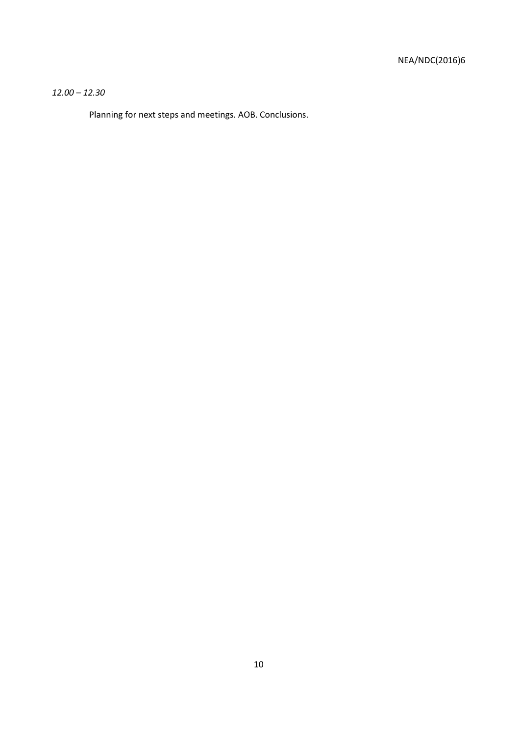## *12.00 – 12.30*

Planning for next steps and meetings. AOB. Conclusions.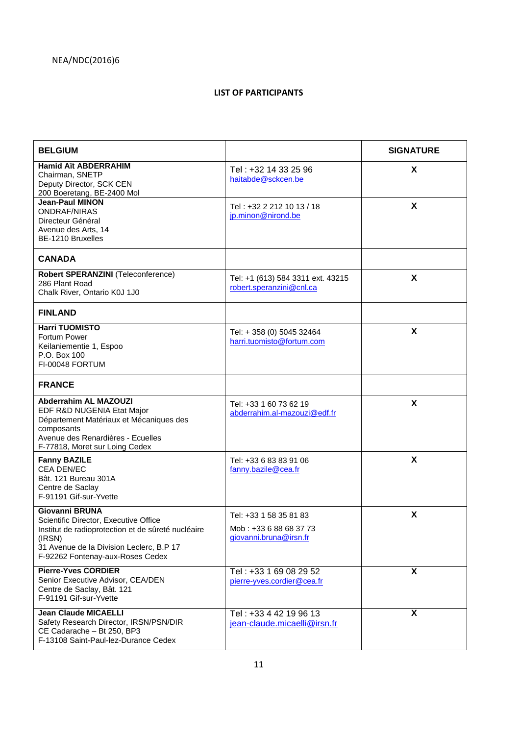## **LIST OF PARTICIPANTS**

| <b>BELGIUM</b>                                                                                                                                                                                                 |                                                                            | <b>SIGNATURE</b> |
|----------------------------------------------------------------------------------------------------------------------------------------------------------------------------------------------------------------|----------------------------------------------------------------------------|------------------|
| <b>Hamid Aït ABDERRAHIM</b><br>Chairman, SNETP<br>Deputy Director, SCK CEN<br>200 Boeretang, BE-2400 Mol                                                                                                       | Tel: +32 14 33 25 96<br>haitabde@sckcen.be                                 | X                |
| <b>Jean-Paul MINON</b><br><b>ONDRAF/NIRAS</b><br>Directeur Général<br>Avenue des Arts, 14<br>BE-1210 Bruxelles                                                                                                 | Tel: +32 2 212 10 13 / 18<br>jp.minon@nirond.be                            | $\mathsf{x}$     |
| <b>CANADA</b>                                                                                                                                                                                                  |                                                                            |                  |
| Robert SPERANZINI (Teleconference)<br>286 Plant Road<br>Chalk River, Ontario K0J 1J0                                                                                                                           | Tel: +1 (613) 584 3311 ext. 43215<br>robert.speranzini@cnl.ca              | X                |
| <b>FINLAND</b>                                                                                                                                                                                                 |                                                                            |                  |
| <b>Harri TUOMISTO</b><br>Fortum Power<br>Keilaniementie 1, Espoo<br>P.O. Box 100<br>FI-00048 FORTUM                                                                                                            | Tel: + 358 (0) 5045 32464<br>harri.tuomisto@fortum.com                     | $\mathsf{x}$     |
| <b>FRANCE</b>                                                                                                                                                                                                  |                                                                            |                  |
| <b>Abderrahim AL MAZOUZI</b><br>EDF R&D NUGENIA Etat Major<br>Département Matériaux et Mécaniques des<br>composants<br>Avenue des Renardières - Ecuelles<br>F-77818, Moret sur Loing Cedex                     | Tel: +33 1 60 73 62 19<br>abderrahim.al-mazouzi@edf.fr                     | X                |
| <b>Fanny BAZILE</b><br><b>CEA DEN/EC</b><br>Bât. 121 Bureau 301A<br>Centre de Saclav<br>F-91191 Gif-sur-Yvette                                                                                                 | Tel: +33 6 83 83 91 06<br>fanny.bazile@cea.fr                              | X                |
| <b>Giovanni BRUNA</b><br>Scientific Director, Executive Office<br>Institut de radioprotection et de sûreté nucléaire<br>(IRSN)<br>31 Avenue de la Division Leclerc, B.P 17<br>F-92262 Fontenay-aux-Roses Cedex | Tel: +33 1 58 35 81 83<br>Mob: +33 6 88 68 37 73<br>giovanni.bruna@irsn.fr | X                |
| <b>Pierre-Yves CORDIER</b><br>Senior Executive Advisor, CEA/DEN<br>Centre de Saclay, Bât. 121<br>F-91191 Gif-sur-Yvette                                                                                        | Tel: +33 1 69 08 29 52<br>pierre-yves.cordier@cea.fr                       | X                |
| <b>Jean Claude MICAELLI</b><br>Safety Research Director, IRSN/PSN/DIR<br>CE Cadarache - Bt 250, BP3<br>F-13108 Saint-Paul-lez-Durance Cedex                                                                    | Tel: +33 4 42 19 96 13<br>jean-claude.micaelli@irsn.fr                     | X                |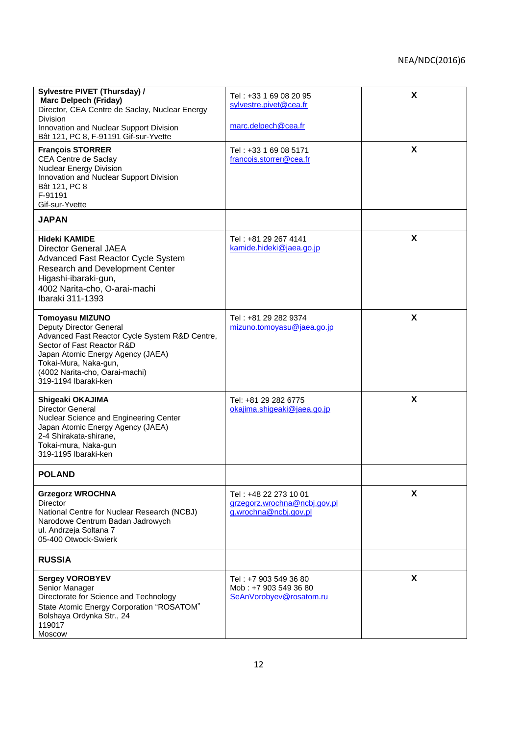| Sylvestre PIVET (Thursday) /<br><b>Marc Delpech (Friday)</b><br>Director, CEA Centre de Saclay, Nuclear Energy<br><b>Division</b>                                                                                                                         | Tel: +33 1 69 08 20 95<br>sylvestre.pivet@cea.fr                               | X |
|-----------------------------------------------------------------------------------------------------------------------------------------------------------------------------------------------------------------------------------------------------------|--------------------------------------------------------------------------------|---|
| Innovation and Nuclear Support Division<br>Bât 121, PC 8, F-91191 Gif-sur-Yvette                                                                                                                                                                          | marc.delpech@cea.fr                                                            |   |
| <b>François STORRER</b><br>CEA Centre de Saclay<br><b>Nuclear Energy Division</b><br>Innovation and Nuclear Support Division<br>Bât 121, PC 8<br>F-91191<br>Gif-sur-Yvette                                                                                | Tel: +33 1 69 08 5171<br>francois.storrer@cea.fr                               | X |
| <b>JAPAN</b>                                                                                                                                                                                                                                              |                                                                                |   |
| <b>Hideki KAMIDE</b><br>Director General JAEA<br><b>Advanced Fast Reactor Cycle System</b><br><b>Research and Development Center</b><br>Higashi-ibaraki-gun,<br>4002 Narita-cho, O-arai-machi<br>Ibaraki 311-1393                                         | Tel: +81 29 267 4141<br>kamide.hideki@jaea.go.jp                               | X |
| <b>Tomoyasu MIZUNO</b><br>Deputy Director General<br>Advanced Fast Reactor Cycle System R&D Centre,<br>Sector of Fast Reactor R&D<br>Japan Atomic Energy Agency (JAEA)<br>Tokai-Mura, Naka-gun,<br>(4002 Narita-cho, Oarai-machi)<br>319-1194 Ibaraki-ken | Tel: +81 29 282 9374<br>mizuno.tomoyasu@jaea.go.jp                             | X |
| Shigeaki OKAJIMA<br><b>Director General</b><br>Nuclear Science and Engineering Center<br>Japan Atomic Energy Agency (JAEA)<br>2-4 Shirakata-shirane,<br>Tokai-mura, Naka-gun<br>319-1195 Ibaraki-ken                                                      | Tel: +81 29 282 6775<br>okajima.shigeaki@jaea.go.jp                            | X |
| <b>POLAND</b>                                                                                                                                                                                                                                             |                                                                                |   |
| <b>Grzegorz WROCHNA</b><br>Director<br>National Centre for Nuclear Research (NCBJ)<br>Narodowe Centrum Badan Jadrowych<br>ul. Andrzeja Soltana 7<br>05-400 Otwock-Swierk                                                                                  | Tel: +48 22 273 10 01<br>grzegorz.wrochna@ncbj.gov.pl<br>g.wrochna@ncbj.gov.pl | X |
| <b>RUSSIA</b>                                                                                                                                                                                                                                             |                                                                                |   |
| <b>Sergey VOROBYEV</b><br>Senior Manager<br>Directorate for Science and Technology<br>State Atomic Energy Corporation "ROSATOM"<br>Bolshaya Ordynka Str., 24<br>119017<br>Moscow                                                                          | Tel: +7 903 549 36 80<br>Mob: +7 903 549 36 80<br>SeAnVorobyev@rosatom.ru      | X |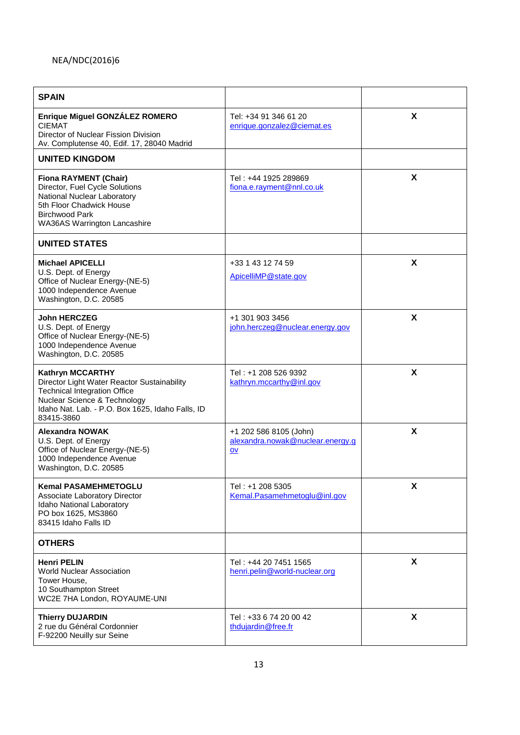| <b>SPAIN</b>                                                                                                                                                                                                    |                                                                    |   |
|-----------------------------------------------------------------------------------------------------------------------------------------------------------------------------------------------------------------|--------------------------------------------------------------------|---|
| Enrique Miguel GONZÁLEZ ROMERO<br><b>CIEMAT</b><br>Director of Nuclear Fission Division<br>Av. Complutense 40, Edif. 17, 28040 Madrid                                                                           | Tel: +34 91 346 61 20<br>enrique.gonzalez@ciemat.es                | X |
| <b>UNITED KINGDOM</b>                                                                                                                                                                                           |                                                                    |   |
| <b>Fiona RAYMENT (Chair)</b><br>Director, Fuel Cycle Solutions<br>National Nuclear Laboratory<br>5th Floor Chadwick House<br><b>Birchwood Park</b><br>WA36AS Warrington Lancashire                              | Tel: +44 1925 289869<br>fiona.e.rayment@nnl.co.uk                  | X |
| <b>UNITED STATES</b>                                                                                                                                                                                            |                                                                    |   |
| <b>Michael APICELLI</b><br>U.S. Dept. of Energy<br>Office of Nuclear Energy-(NE-5)<br>1000 Independence Avenue<br>Washington, D.C. 20585                                                                        | +33 1 43 12 74 59<br>ApicelliMP@state.gov                          | X |
| <b>John HERCZEG</b><br>U.S. Dept. of Energy<br>Office of Nuclear Energy-(NE-5)<br>1000 Independence Avenue<br>Washington, D.C. 20585                                                                            | +1 301 903 3456<br>john.herczeg@nuclear.energy.gov                 | X |
| <b>Kathryn MCCARTHY</b><br>Director Light Water Reactor Sustainability<br><b>Technical Integration Office</b><br>Nuclear Science & Technology<br>Idaho Nat. Lab. - P.O. Box 1625, Idaho Falls, ID<br>83415-3860 | Tel: +1 208 526 9392<br>kathryn.mccarthy@inl.gov                   | X |
| <b>Alexandra NOWAK</b><br>U.S. Dept. of Energy<br>Office of Nuclear Energy-(NE-5)<br>1000 Independence Avenue<br>Washington, D.C. 20585                                                                         | +1 202 586 8105 (John)<br>alexandra.nowak@nuclear.energy.g<br>$ov$ | X |
| <b>Kemal PASAMEHMETOGLU</b><br>Associate Laboratory Director<br>Idaho National Laboratory<br>PO box 1625, MS3860<br>83415 Idaho Falls ID                                                                        | Tel: +1 208 5305<br>Kemal.Pasamehmetoglu@inl.gov                   | X |
| <b>OTHERS</b>                                                                                                                                                                                                   |                                                                    |   |
| <b>Henri PELIN</b><br><b>World Nuclear Association</b><br>Tower House.<br>10 Southampton Street<br>WC2E 7HA London, ROYAUME-UNI                                                                                 | Tel: +44 20 7451 1565<br>henri.pelin@world-nuclear.org             | X |
| <b>Thierry DUJARDIN</b><br>2 rue du Général Cordonnier<br>F-92200 Neuilly sur Seine                                                                                                                             | Tel: +33 6 74 20 00 42<br>thdujardin@free.fr                       | X |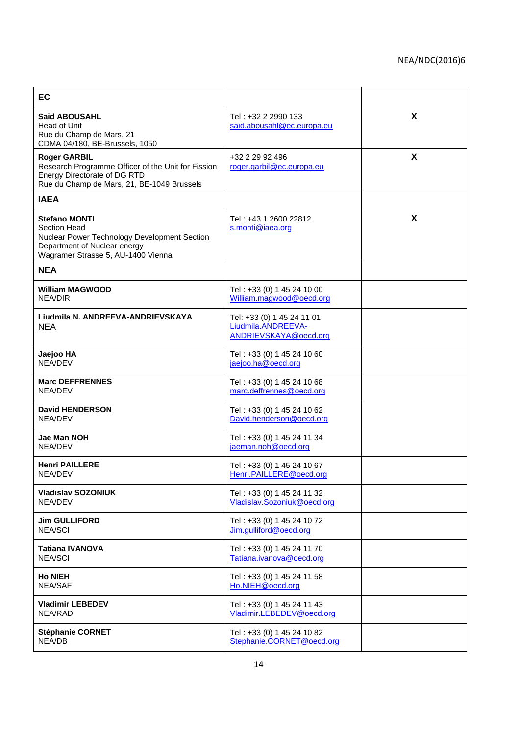| EC                                                                                                                                                                |                                                                           |   |
|-------------------------------------------------------------------------------------------------------------------------------------------------------------------|---------------------------------------------------------------------------|---|
| <b>Said ABOUSAHL</b><br>Head of Unit<br>Rue du Champ de Mars, 21<br>CDMA 04/180, BE-Brussels, 1050                                                                | Tel: +32 2 2990 133<br>said.abousahl@ec.europa.eu                         | X |
| <b>Roger GARBIL</b><br>Research Programme Officer of the Unit for Fission<br>Energy Directorate of DG RTD<br>Rue du Champ de Mars, 21, BE-1049 Brussels           | +32 2 29 92 496<br>roger.garbil@ec.europa.eu                              | X |
| <b>IAEA</b>                                                                                                                                                       |                                                                           |   |
| <b>Stefano MONTI</b><br><b>Section Head</b><br>Nuclear Power Technology Development Section<br>Department of Nuclear energy<br>Wagramer Strasse 5, AU-1400 Vienna | Tel: +43 1 2600 22812<br>s.monti@iaea.org                                 | X |
| <b>NEA</b>                                                                                                                                                        |                                                                           |   |
| <b>William MAGWOOD</b><br><b>NEA/DIR</b>                                                                                                                          | Tel: +33 (0) 1 45 24 10 00<br>William.magwood@oecd.org                    |   |
| Liudmila N. ANDREEVA-ANDRIEVSKAYA<br><b>NEA</b>                                                                                                                   | Tel: +33 (0) 1 45 24 11 01<br>Liudmila.ANDREEVA-<br>ANDRIEVSKAYA@oecd.org |   |
| Jaejoo HA<br>NEA/DEV                                                                                                                                              | Tel: +33 (0) 1 45 24 10 60<br>jaejoo.ha@oecd.org                          |   |
| <b>Marc DEFFRENNES</b><br>NEA/DEV                                                                                                                                 | Tel: +33 (0) 1 45 24 10 68<br>marc.deffrennes@oecd.org                    |   |
| <b>David HENDERSON</b><br>NEA/DEV                                                                                                                                 | Tel: +33 (0) 1 45 24 10 62<br>David.henderson@oecd.org                    |   |
| Jae Man NOH<br>NEA/DEV                                                                                                                                            | Tel: +33 (0) 1 45 24 11 34<br>jaeman.noh@oecd.org                         |   |
| <b>Henri PAILLERE</b><br>NEA/DEV                                                                                                                                  | Tel: +33 (0) 1 45 24 10 67<br>Henri.PAILLERE@oecd.org                     |   |
| <b>Vladislav SOZONIUK</b><br>NEA/DEV                                                                                                                              | Tel: +33 (0) 1 45 24 11 32<br>Vladislav.Sozoniuk@oecd.org                 |   |
| <b>Jim GULLIFORD</b><br><b>NEA/SCI</b>                                                                                                                            | Tel: +33 (0) 1 45 24 10 72<br>Jim.gulliford@oecd.org                      |   |
| <b>Tatiana IVANOVA</b><br><b>NEA/SCI</b>                                                                                                                          | Tel: +33 (0) 1 45 24 11 70<br>Tatiana.ivanova@oecd.org                    |   |
| <b>Ho NIEH</b><br><b>NEA/SAF</b>                                                                                                                                  | Tel: +33 (0) 1 45 24 11 58<br>Ho.NIEH@oecd.org                            |   |
| <b>Vladimir LEBEDEV</b><br>NEA/RAD                                                                                                                                | Tel: +33 (0) 1 45 24 11 43<br>Vladimir.LEBEDEV@oecd.org                   |   |
| <b>Stéphanie CORNET</b><br>NEA/DB                                                                                                                                 | Tel: +33 (0) 1 45 24 10 82<br>Stephanie.CORNET@oecd.org                   |   |